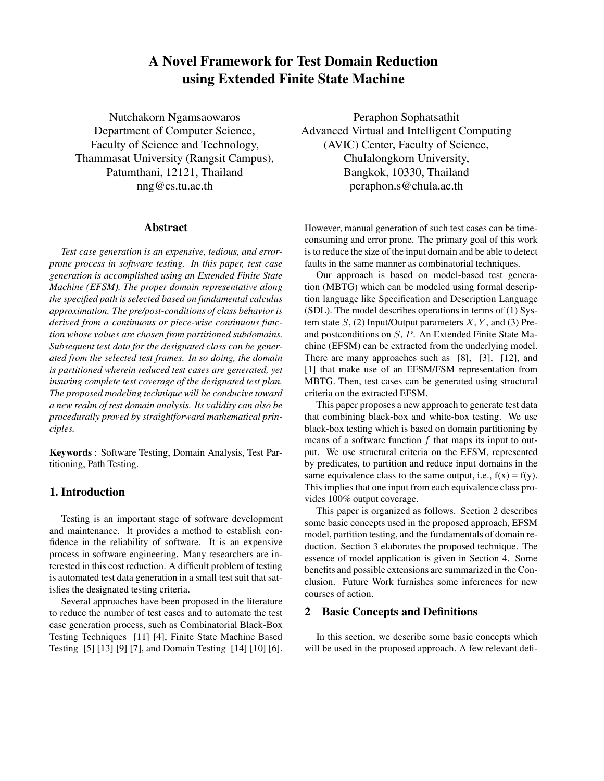# **A Novel Framework for Test Domain Reduction using Extended Finite State Machine**

Nutchakorn Ngamsaowaros Department of Computer Science, Faculty of Science and Technology, Thammasat University (Rangsit Campus), Patumthani, 12121, Thailand nng@cs.tu.ac.th

## **Abstract**

*Test case generation is an expensive, tedious, and errorprone process in software testing. In this paper, test case generation is accomplished using an Extended Finite State Machine (EFSM). The proper domain representative along the specified path is selected based on fundamental calculus approximation. The pre/post-conditions of class behavior is derived from a continuous or piece-wise continuous function whose values are chosen from partitioned subdomains. Subsequent test data for the designated class can be generated from the selected test frames. In so doing, the domain is partitioned wherein reduced test cases are generated, yet insuring complete test coverage of the designated test plan. The proposed modeling technique will be conducive toward a new realm of test domain analysis. Its validity can also be procedurally proved by straightforward mathematical principles.*

**Keywords** : Software Testing, Domain Analysis, Test Partitioning, Path Testing.

## **1. Introduction**

Testing is an important stage of software development and maintenance. It provides a method to establish confidence in the reliability of software. It is an expensive process in software engineering. Many researchers are interested in this cost reduction. A difficult problem of testing is automated test data generation in a small test suit that satisfies the designated testing criteria.

Several approaches have been proposed in the literature to reduce the number of test cases and to automate the test case generation process, such as Combinatorial Black-Box Testing Techniques [11] [4], Finite State Machine Based Testing [5] [13] [9] [7], and Domain Testing [14] [10] [6].

Peraphon Sophatsathit Advanced Virtual and Intelligent Computing (AVIC) Center, Faculty of Science, Chulalongkorn University, Bangkok, 10330, Thailand peraphon.s@chula.ac.th

However, manual generation of such test cases can be timeconsuming and error prone. The primary goal of this work is to reduce the size of the input domain and be able to detect faults in the same manner as combinatorial techniques.

Our approach is based on model-based test generation (MBTG) which can be modeled using formal description language like Specification and Description Language (SDL). The model describes operations in terms of (1) System state  $S$ , (2) Input/Output parameters  $X, Y$ , and (3) Preand postconditions on S, P. An Extended Finite State Machine (EFSM) can be extracted from the underlying model. There are many approaches such as [8], [3], [12], and [1] that make use of an EFSM/FSM representation from MBTG. Then, test cases can be generated using structural criteria on the extracted EFSM.

This paper proposes a new approach to generate test data that combining black-box and white-box testing. We use black-box testing which is based on domain partitioning by means of a software function  $f$  that maps its input to output. We use structural criteria on the EFSM, represented by predicates, to partition and reduce input domains in the same equivalence class to the same output, i.e.,  $f(x) = f(y)$ . This implies that one input from each equivalence class provides 100% output coverage.

This paper is organized as follows. Section 2 describes some basic concepts used in the proposed approach, EFSM model, partition testing, and the fundamentals of domain reduction. Section 3 elaborates the proposed technique. The essence of model application is given in Section 4. Some benefits and possible extensions are summarized in the Conclusion. Future Work furnishes some inferences for new courses of action.

## **2 Basic Concepts and Definitions**

In this section, we describe some basic concepts which will be used in the proposed approach. A few relevant defi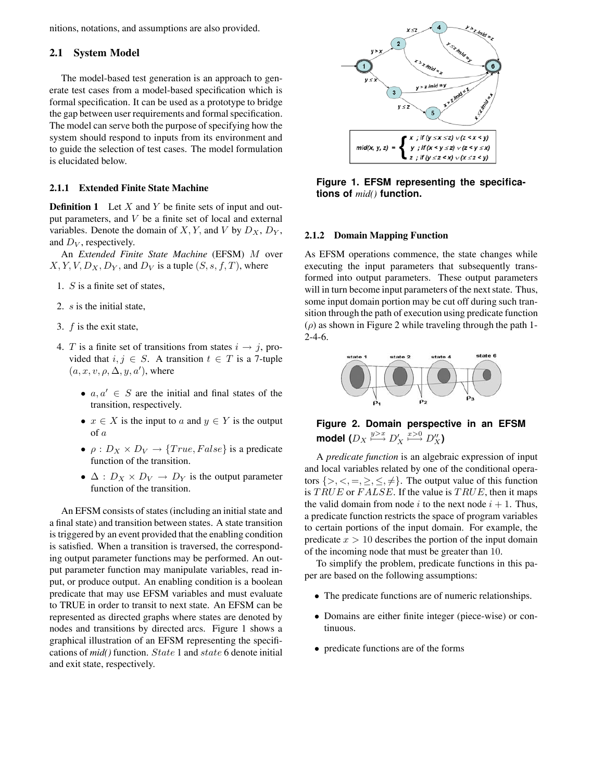nitions, notations, and assumptions are also provided.

## **2.1 System Model**

The model-based test generation is an approach to generate test cases from a model-based specification which is formal specification. It can be used as a prototype to bridge the gap between user requirements and formal specification. The model can serve both the purpose of specifying how the system should respond to inputs from its environment and to guide the selection of test cases. The model formulation is elucidated below.

#### **2.1.1 Extended Finite State Machine**

**Definition 1** Let X and Y be finite sets of input and output parameters, and V be a finite set of local and external variables. Denote the domain of  $X, Y$ , and  $V$  by  $D_X, D_Y$ , and D*<sup>V</sup>* , respectively.

An *Extended Finite State Machine* (EFSM) M over  $X, Y, V, D_X, D_Y$ , and  $D_V$  is a tuple  $(S, s, f, T)$ , where

- 1. S is a finite set of states,
- 2. s is the initial state,
- 3. f is the exit state,
- 4. T is a finite set of transitions from states  $i \rightarrow j$ , provided that  $i, j \in S$ . A transition  $t \in T$  is a 7-tuple  $(a, x, v, \rho, \Delta, y, a')$ , where
	- $a, a' \in S$  are the initial and final states of the transition, respectively.
	- $x \in X$  is the input to a and  $y \in Y$  is the output of a
	- $\rho$  :  $D_X \times D_V \rightarrow \{True, False\}$  is a predicate function of the transition.
	- $\Delta: D_X \times D_V \to D_Y$  is the output parameter function of the transition.

An EFSM consists of states (including an initial state and a final state) and transition between states. A state transition is triggered by an event provided that the enabling condition is satisfied. When a transition is traversed, the corresponding output parameter functions may be performed. An output parameter function may manipulate variables, read input, or produce output. An enabling condition is a boolean predicate that may use EFSM variables and must evaluate to TRUE in order to transit to next state. An EFSM can be represented as directed graphs where states are denoted by nodes and transitions by directed arcs. Figure 1 shows a graphical illustration of an EFSM representing the specifications of *mid()* function. State 1 and state 6 denote initial and exit state, respectively.



**Figure 1. EFSM representing the specifications of** *mid()* **function.**

#### **2.1.2 Domain Mapping Function**

As EFSM operations commence, the state changes while executing the input parameters that subsequently transformed into output parameters. These output parameters will in turn become input parameters of the next state. Thus, some input domain portion may be cut off during such transition through the path of execution using predicate function  $(\rho)$  as shown in Figure 2 while traveling through the path 1-2-4-6.



**Figure 2. Domain perspective in an EFSM**  $\mathsf{model}$   $(D_X \overset{y>x}{\longmapsto} D_X' \overset{x>0}{\longmapsto} D_X''$ 

A *predicate function* is an algebraic expression of input and local variables related by one of the conditional operators  $\{>, <, =, \geq, \leq, \neq\}$ . The output value of this function is  $TRUE$  or  $FALSE$ . If the value is  $TRUE$ , then it maps the valid domain from node i to the next node  $i + 1$ . Thus, a predicate function restricts the space of program variables to certain portions of the input domain. For example, the predicate  $x > 10$  describes the portion of the input domain of the incoming node that must be greater than 10.

To simplify the problem, predicate functions in this paper are based on the following assumptions:

- The predicate functions are of numeric relationships.
- Domains are either finite integer (piece-wise) or continuous.
- predicate functions are of the forms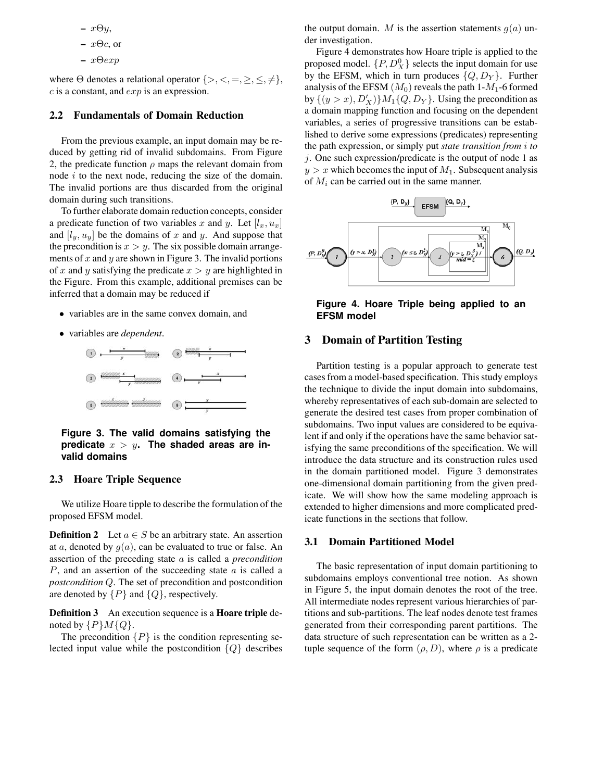- **–** xΘy,
- **–** xΘc, or
- **–** xΘexp

where  $\Theta$  denotes a relational operator  $\{>, <, =, \geq, \leq, \neq\},$  $c$  is a constant, and  $exp$  is an expression.

## **2.2 Fundamentals of Domain Reduction**

From the previous example, an input domain may be reduced by getting rid of invalid subdomains. From Figure 2, the predicate function  $\rho$  maps the relevant domain from node i to the next node, reducing the size of the domain. The invalid portions are thus discarded from the original domain during such transitions.

To further elaborate domain reduction concepts, consider a predicate function of two variables x and y. Let  $[l_x, u_x]$ and  $[l_y, u_y]$  be the domains of x and y. And suppose that the precondition is  $x>y$ . The six possible domain arrangements of  $x$  and  $y$  are shown in Figure 3. The invalid portions of x and y satisfying the predicate  $x>y$  are highlighted in the Figure. From this example, additional premises can be inferred that a domain may be reduced if

- variables are in the same convex domain, and
- variables are *dependent*.



**Figure 3. The valid domains satisfying the** predicate  $x > y$ . The shaded areas are in**valid domains**

### **2.3 Hoare Triple Sequence**

We utilize Hoare tipple to describe the formulation of the proposed EFSM model.

**Definition 2** Let  $a \in S$  be an arbitrary state. An assertion at a, denoted by  $g(a)$ , can be evaluated to true or false. An assertion of the preceding state a is called a *precondition*  $P$ , and an assertion of the succeeding state  $\alpha$  is called a *postcondition* Q. The set of precondition and postcondition are denoted by  $\{P\}$  and  $\{Q\}$ , respectively.

**Definition 3** An execution sequence is a **Hoare triple** denoted by  $\{P\}M\{Q\}.$ 

The precondition  $\{P\}$  is the condition representing selected input value while the postcondition  $\{Q\}$  describes the output domain. M is the assertion statements  $q(a)$  under investigation.

Figure 4 demonstrates how Hoare triple is applied to the proposed model.  $\{P, D_X^0\}$  selects the input domain for use by the EFSM, which in turn produces  $\{Q, D_Y\}$ . Further analysis of the EFSM  $(M_0)$  reveals the path 1- $M_1$ -6 formed by  $\{(y > x), D'_X)\}M_1\{Q, D_Y\}$ . Using the precondition as a domain mapping function and focusing on the dependent variables, a series of progressive transitions can be established to derive some expressions (predicates) representing the path expression, or simply put *state transition from* i *to*  $j$ . One such expression/predicate is the output of node 1 as  $y > x$  which becomes the input of  $M_1$ . Subsequent analysis of M*<sup>i</sup>* can be carried out in the same manner.



**Figure 4. Hoare Triple being applied to an EFSM model**

## **3 Domain of Partition Testing**

Partition testing is a popular approach to generate test cases from a model-based specification. This study employs the technique to divide the input domain into subdomains, whereby representatives of each sub-domain are selected to generate the desired test cases from proper combination of subdomains. Two input values are considered to be equivalent if and only if the operations have the same behavior satisfying the same preconditions of the specification. We will introduce the data structure and its construction rules used in the domain partitioned model. Figure 3 demonstrates one-dimensional domain partitioning from the given predicate. We will show how the same modeling approach is extended to higher dimensions and more complicated predicate functions in the sections that follow.

## **3.1 Domain Partitioned Model**

The basic representation of input domain partitioning to subdomains employs conventional tree notion. As shown in Figure 5, the input domain denotes the root of the tree. All intermediate nodes represent various hierarchies of partitions and sub-partitions. The leaf nodes denote test frames generated from their corresponding parent partitions. The data structure of such representation can be written as a 2 tuple sequence of the form  $(\rho, D)$ , where  $\rho$  is a predicate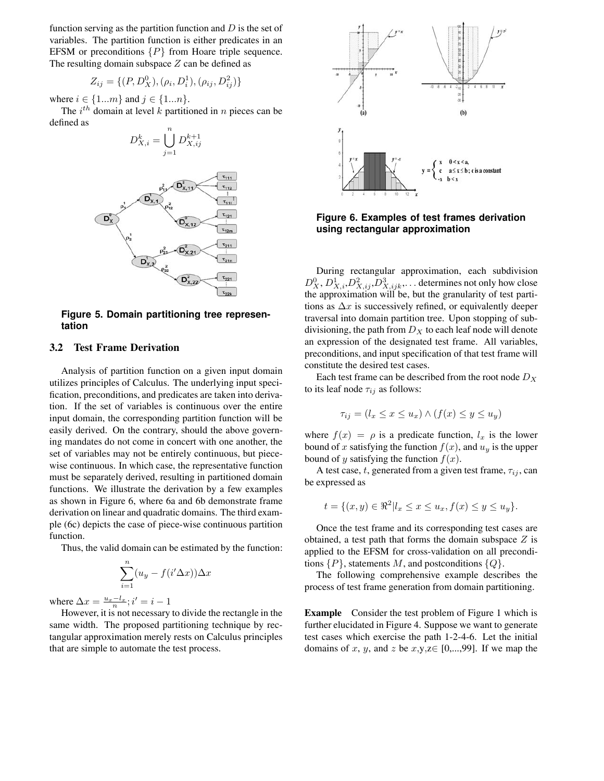function serving as the partition function and  $D$  is the set of variables. The partition function is either predicates in an EFSM or preconditions  $\{P\}$  from Hoare triple sequence. The resulting domain subspace  $Z$  can be defined as

$$
Z_{ij} = \{ (P, D_X^0), (\rho_i, D_i^1), (\rho_{ij}, D_{ij}^2) \}
$$

where  $i \in \{1...m\}$  and  $j \in \{1...n\}$ .

The  $i^{th}$  domain at level k partitioned in n pieces can be defined as *n*



**Figure 5. Domain partitioning tree representation**

#### **3.2 Test Frame Derivation**

Analysis of partition function on a given input domain utilizes principles of Calculus. The underlying input specification, preconditions, and predicates are taken into derivation. If the set of variables is continuous over the entire input domain, the corresponding partition function will be easily derived. On the contrary, should the above governing mandates do not come in concert with one another, the set of variables may not be entirely continuous, but piecewise continuous. In which case, the representative function must be separately derived, resulting in partitioned domain functions. We illustrate the derivation by a few examples as shown in Figure 6, where 6a and 6b demonstrate frame derivation on linear and quadratic domains. The third example (6c) depicts the case of piece-wise continuous partition function.

Thus, the valid domain can be estimated by the function:

$$
\sum_{i=1}^{n} (u_y - f(i'\Delta x)) \Delta x
$$

where  $\Delta x = \frac{u_x - l_x}{n}$ ;  $i' = i - 1$ 

However, it is not necessary to divide the rectangle in the same width. The proposed partitioning technique by rectangular approximation merely rests on Calculus principles that are simple to automate the test process.



**Figure 6. Examples of test frames derivation using rectangular approximation**

During rectangular approximation, each subdivision  $D_X^0, D_{X,i}^1, D_{X,ij}^2, D_{X,ijk}^3, \ldots$  determines not only how close the approximation will be, but the granularity of test partitions as  $\Delta x$  is successively refined, or equivalently deeper traversal into domain partition tree. Upon stopping of subdivisioning, the path from  $D_X$  to each leaf node will denote an expression of the designated test frame. All variables, preconditions, and input specification of that test frame will constitute the desired test cases.

Each test frame can be described from the root node D*<sup>X</sup>* to its leaf node  $\tau_{ij}$  as follows:

$$
\tau_{ij} = (l_x \le x \le u_x) \land (f(x) \le y \le u_y)
$$

where  $f(x) = \rho$  is a predicate function,  $l_x$  is the lower bound of x satisfying the function  $f(x)$ , and  $u<sub>y</sub>$  is the upper bound of y satisfying the function  $f(x)$ .

A test case,  $t$ , generated from a given test frame,  $\tau_{ij}$ , can be expressed as

$$
t = \{(x, y) \in \Re^2 | l_x \le x \le u_x, f(x) \le y \le u_y \}.
$$

Once the test frame and its corresponding test cases are obtained, a test path that forms the domain subspace  $Z$  is applied to the EFSM for cross-validation on all preconditions  $\{P\}$ , statements M, and postconditions  $\{Q\}$ .

The following comprehensive example describes the process of test frame generation from domain partitioning.

**Example** Consider the test problem of Figure 1 which is further elucidated in Figure 4. Suppose we want to generate test cases which exercise the path 1-2-4-6. Let the initial domains of x, y, and z be  $x,y,z \in [0,...,99]$ . If we map the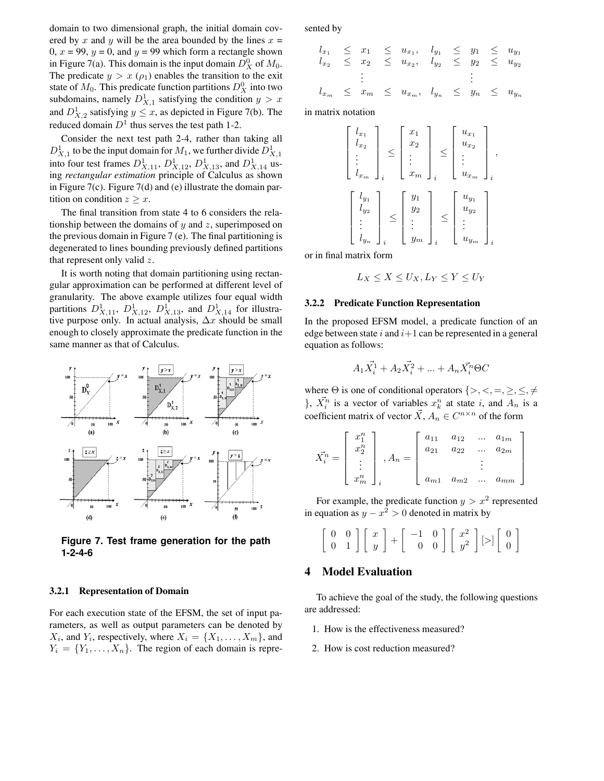domain to two dimensional graph, the initial domain covered by x and y will be the area bounded by the lines  $x =$ 0,  $x = 99$ ,  $y = 0$ , and  $y = 99$  which form a rectangle shown in Figure 7(a). This domain is the input domain  $D_X^0$  of  $M_0$ . The predicate  $y > x (\rho_1)$  enables the transition to the exit state of  $M_0$ . This predicate function partitions  $D_X^0$  into two subdomains, namely  $D_{X,1}^1$  satisfying the condition  $y > x$ and  $D_{X,2}^1$  satisfying  $y \leq x$ , as depicted in Figure 7(b). The reduced domain  $D<sup>1</sup>$  thus serves the test path 1-2.

Consider the next test path 2-4, rather than taking all  $D_{X,1}^1$  to be the input domain for  $M_1$ , we further divide  $D_{X,1}^1$ into four test frames  $D_{X,11}^1$ ,  $D_{X,12}^1$ ,  $D_{X,13}^1$ , and  $D_{X,14}^1$  using *rectangular estimation* principle of Calculus as shown in Figure 7(c). Figure 7(d) and (e) illustrate the domain partition on condition  $z \geq x$ .

The final transition from state 4 to 6 considers the relationship between the domains of  $y$  and  $z$ , superimposed on the previous domain in Figure 7 (e). The final partitioning is degenerated to lines bounding previously defined partitions that represent only valid z.

It is worth noting that domain partitioning using rectangular approximation can be performed at different level of granularity. The above example utilizes four equal width partitions  $D_{X,11}^1$ ,  $D_{X,12}^1$ ,  $D_{X,13}^1$ , and  $D_{X,14}^1$  for illustrative purpose only. In actual analysis,  $\Delta x$  should be small enough to closely approximate the predicate function in the same manner as that of Calculus.



**Figure 7. Test frame generation for the path 1-2-4-6**

#### **3.2.1 Representation of Domain**

For each execution state of the EFSM, the set of input parameters, as well as output parameters can be denoted by  $X_i$ , and  $Y_i$ , respectively, where  $X_i = \{X_1, \ldots, X_m\}$ , and  $Y_i = \{Y_1, \ldots, X_n\}$ . The region of each domain is represented by

$$
l_{x_1} \leq x_1 \leq u_{x_1}, \quad l_{y_1} \leq y_1 \leq u_{y_1} \n l_{x_2} \leq x_2 \leq u_{x_2}, \quad l_{y_2} \leq y_2 \leq u_{y_2} \n \vdots \qquad \vdots \qquad \vdots \n l_{x_m} \leq x_m \leq u_{x_m}, \quad l_{y_n} \leq y_n \leq u_{y_n}
$$

in matrix notation

$$
\begin{bmatrix} l_{x_1} \\ l_{x_2} \\ \vdots \\ l_{x_m} \end{bmatrix}_i \leq \begin{bmatrix} x_1 \\ x_2 \\ \vdots \\ x_m \end{bmatrix}_i \leq \begin{bmatrix} u_{x_1} \\ u_{x_2} \\ \vdots \\ u_{x_m} \end{bmatrix}_i,
$$
  

$$
\begin{bmatrix} l_{y_1} \\ l_{y_2} \\ \vdots \\ l_{y_n} \end{bmatrix}_i \leq \begin{bmatrix} y_1 \\ y_2 \\ \vdots \\ y_m \end{bmatrix}_i \leq \begin{bmatrix} u_{y_1} \\ u_{y_2} \\ \vdots \\ u_{y_m} \end{bmatrix}_i.
$$

or in final matrix form

$$
L_X \le X \le U_X, L_Y \le Y \le U_Y
$$

#### **3.2.2 Predicate Function Representation**

In the proposed EFSM model, a predicate function of an edge between state i and  $i+1$  can be represented in a general equation as follows:

$$
A_1 \vec{X^1_i} + A_2 \vec{X^2_i} + \ldots + A_n \vec{X^n_i} \Theta C
$$

where  $\Theta$  is one of conditional operators  $\{>, <, =, \geq, \leq, \neq$  $\}, \ \vec{X}_i^n$  is a vector of variables  $x_k^n$  at state i, and  $A_n$  is a coefficient matrix of vector  $\vec{X}$ ,  $A_n \in C^{n \times n}$  of the form

$$
\vec{X}_i^n = \begin{bmatrix} x_1^n \\ x_2^n \\ \vdots \\ x_m^n \end{bmatrix}_i, A_n = \begin{bmatrix} a_{11} & a_{12} & \dots & a_{1m} \\ a_{21} & a_{22} & \dots & a_{2m} \\ & & \vdots & \\ a_{m1} & a_{m2} & \dots & a_{mm} \end{bmatrix}
$$

For example, the predicate function  $y > x^2$  represented in equation as  $y - x^2 > 0$  denoted in matrix by

|  |  | $\left[\begin{array}{cc} 0 & 0 \\ 0 & 1 \end{array}\right] \left[\begin{array}{c} x \\ y \end{array}\right] + \left[\begin{array}{cc} -1 & 0 \\ 0 & 0 \end{array}\right] \left[\begin{array}{c} x^2 \\ y^2 \end{array}\right] \left[\gg\right] \left[\begin{array}{c} 0 \\ 0 \end{array}\right]$ |  |
|--|--|--------------------------------------------------------------------------------------------------------------------------------------------------------------------------------------------------------------------------------------------------------------------------------------------------|--|
|  |  |                                                                                                                                                                                                                                                                                                  |  |

## **4 Model Evaluation**

To achieve the goal of the study, the following questions are addressed:

- 1. How is the effectiveness measured?
- 2. How is cost reduction measured?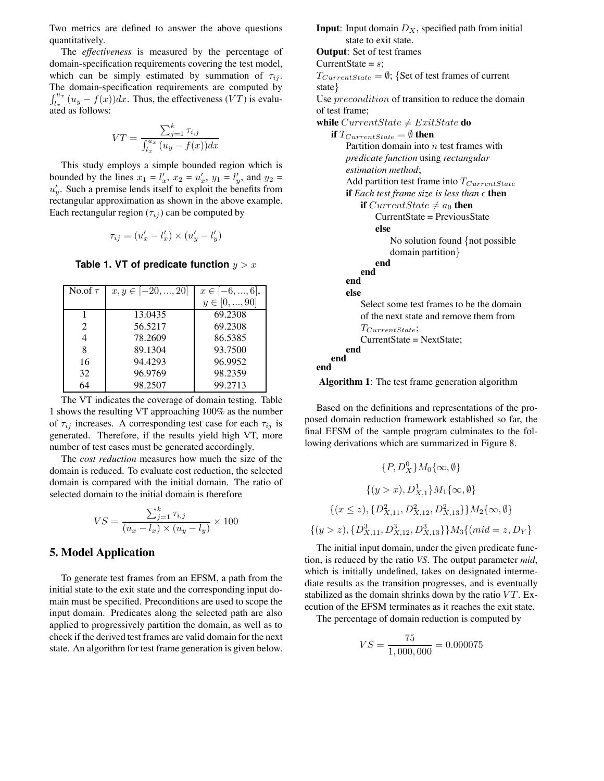Two metrics are defined to answer the above questions quantitatively.

The *effectiveness* is measured by the percentage of domain-specification requirements covering the test model, which can be simply estimated by summation of  $\tau_{ij}$ . The domain-specification requirements are computed by  $\int_{l_x}^{u_x} (u_y - f(x)) dx$ . Thus, the effectiveness (VT) is evaluated as follows:

$$
VT = \frac{\sum_{j=1}^{k} \tau_{i,j}}{\int_{l_x}^{u_x} (u_y - f(x)) dx}
$$

This study employs a simple bounded region which is bounded by the lines  $x_1 = l'_x$ ,  $x_2 = u'_x$ ,  $y_1 = l'_y$ , and  $y_2 =$  $u'_y$ . Such a premise lends itself to exploit the benefits from rectangular approximation as shown in the above example. Each rectangular region  $(\tau_{ij})$  can be computed by

$$
\tau_{ij} = (u'_x - l'_x) \times (u'_y - l'_y)
$$

**Table 1. VT of predicate function**  $y > x$ 

| No.of $\tau$ | $x, y \in [-20, , 20]$ | $x \in [-6, , 6],$ |
|--------------|------------------------|--------------------|
|              |                        | $y \in [0, , 90]$  |
|              | 13.0435                | 69.2308            |
| 2            | 56.5217                | 69.2308            |
| 4            | 78.2609                | 86.5385            |
| 8            | 89.1304                | 93.7500            |
| 16           | 94.4293                | 96.9952            |
| 32           | 96.9769                | 98.2359            |
| 64           | 98.2507                | 99.2713            |

The VT indicates the coverage of domain testing. Table 1 shows the resulting VT approaching 100% as the number of  $\tau_{ij}$  increases. A corresponding test case for each  $\tau_{ij}$  is generated. Therefore, if the results yield high VT, more number of test cases must be generated accordingly.

The *cost reduction* measures how much the size of the domain is reduced. To evaluate cost reduction, the selected domain is compared with the initial domain. The ratio of selected domain to the initial domain is therefore

$$
VS = \frac{\sum_{j=1}^{k} \tau_{i,j}}{(u_x - l_x) \times (u_y - l_y)} \times 100
$$

## **5. Model Application**

To generate test frames from an EFSM, a path from the initial state to the exit state and the corresponding input domain must be specified. Preconditions are used to scope the input domain. Predicates along the selected path are also applied to progressively partition the domain, as well as to check if the derived test frames are valid domain for the next state. An algorithm for test frame generation is given below. **Input**: Input domain  $D_X$ , specified path from initial state to exit state. **Output**: Set of test frames CurrentState =  $s$ ;  $T_{CurrentState} = \emptyset$ ; {Set of test frames of current

state} Use *precondition* of transition to reduce the domain of test frame;

**while**  $CurrentState \neq Existstate$  **do** 

**if**  $T_{CurrentState} = \emptyset$  **then** Partition domain into  $n$  test frames with *predicate function* using *rectangular estimation method*; Add partition test frame into T*CurrentState* **if** *Each test frame size is less than*  $\epsilon$  **then if** CurrentState  $\neq a_0$  **then** CurrentState = PreviousState **else** No solution found {not possible domain partition} **end end end else** Select some test frames to be the domain of the next state and remove them from T*CurrentState*; CurrentState = NextState; **end end**

**Algorithm 1**: The test frame generation algorithm

**end**

Based on the definitions and representations of the proposed domain reduction framework established so far, the final EFSM of the sample program culminates to the following derivations which are summarized in Figure 8.

$$
\{P, D_X^0\} M_0\{\infty, \emptyset\}
$$
  

$$
\{(y > x), D_{X,1}^1\} M_1\{\infty, \emptyset\}
$$
  

$$
\{(x \le z), \{D_{X,11}^2, D_{X,12}^2, D_{X,13}^2\}\} M_2\{\infty, \emptyset\}
$$
  

$$
\{(y > z), \{D_{X,11}^3, D_{X,12}^3, D_{X,13}^3\}\} M_3\{(mid = z, D_Y\}
$$

The initial input domain, under the given predicate function, is reduced by the ratio *VS*. The output parameter *mid*, which is initially undefined, takes on designated intermediate results as the transition progresses, and is eventually stabilized as the domain shrinks down by the ratio  $VT$ . Execution of the EFSM terminates as it reaches the exit state.

The percentage of domain reduction is computed by

$$
VS = \frac{75}{1,000,000} = 0.000075
$$